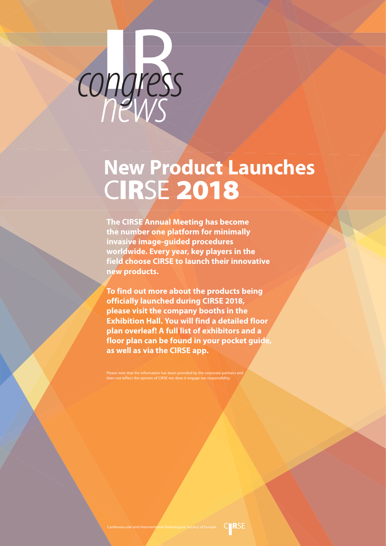

# **New Product Launches** C**IR**SE **2018** New Pr

# **I**<br>Pares congress

**The CIRSE Annual Meeting has become the number one platform for minimally invasive image-guided procedures worldwide. Every year, key players in the field choose CIRSE to launch their innovative new products.**

**To find out more about the products being officially launched during CIRSE 2018, please visit the company booths in the Exhibition Hall. You will find a detailed floor plan overleaf! A full list of exhibitors and a floor plan can be found in your pocket guide, as well as via the CIRSE app.**

Please note that the information has been provided by the corporate partners and does not reflect the opinion of CIRSE nor does it engage our responsibility.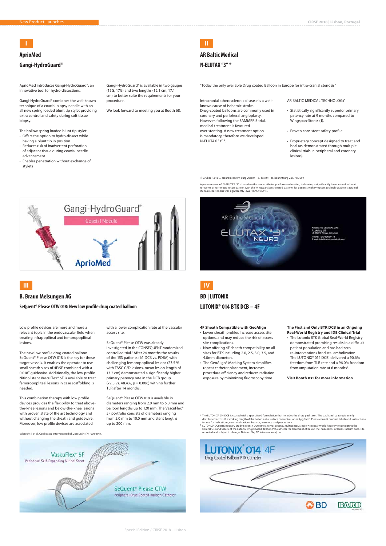Special Edition / CIRSE 2018 – Lisbon

# **AprioMed**

AprioMed introduces Gangi-HydroGuard®; an innovative tool for hydro-dissections.

Gangi-HydroGuard® combines the well-known technique of a coaxial biopsy needle with an all new spring loaded blunt tip stylet providing extra control and safety during soft tissue biopsy.

The hollow spring loaded blunt tip stylet:

- Offers the option to hydro-dissect while having a blunt tip in position
- Reduces risk of inadvertent perforation of adjacent tissue during coaxial needle advancement
- Enables penetration without exchange of stylets

Gangi-HydroGuard® is available in two gauges (15G, 17G) and two lengths (12.1 cm, 17.1 cm) to better suite the requirements for your procedure.

We look forward to meeting you at Booth 68.

## **Gangi-HydroGuard®**

A pre-successor of N-ELUTAX "3" – based on the same catheter platform and coating is showing a significantly lower rate of ischemic re-events or restenosis in comparison with the WingspanStent-treated patients for patients with symptomatic high-grade intracranial stenosis'. Restenosis was significantly lower (13% vs 64%).



# **I**



"Today the only available Drug coated Balloon in Europe for intra-cranial stenosis"

# **AR Baltic Medical**

**N-ELUTAX "3" ®**



Intracranial atherosclerotic disease is a wellknown cause of ischemic stroke. Drug-coated balloons are commonly used in coronary and peripheral angioplasty. However, following the SAMMPRIS trial, medical treatment is favoured over stenting. A new treatment option is mandatory, therefore we developed N-ELUTAX "3" ®.

> • The Lutonix BTK Global Real-World Registry demonstrated promising results in a difficult patient population and has had zero re-interventions for distal embolization. The LUTONIX® 014 DCB1 delivered a 90.6% freedom from TLR rate and a 96.0% freedom from amputation rate at 6 months<sup>2</sup>.

#### AR BALTIC MEDICAL TECHNOLOGY:

- Statistically significantly superior primary patency rate at 9 months compared to Wingspan-Stents (1).
- Proven consistent safety profile.
- Proprietary concept designed to treat and heal (as demonstrated through multiple clinical trials in peripheral and coronary lesions)

1) Gruber P, et al. J NeuroIntervent Surg 2018;0:1–5. doi:10.1136/neurintsurg-2017-013699

#### **4F Sheath Compatible with GeoAlign**

- Lower sheath profiles increase access site options, and may reduce the risk of access site complications.
- Now offering 4F sheath compatibility on all sizes for BTK including 2.0, 2.5, 3.0, 3.5, and 4.0mm diameters.
- The GeoAlign® Marking System simplifies repeat catheter placement, increases procedure efficiency and reduces radiation exposure by minimizing fluoroscopy time.

# **BD | LUTONIX LUTONIX® 014 BTK DCB – 4F**

#### **The First and Only BTK DCB in an Ongoing Real-World Registry and IDE Clinical Trial**

**Visit Booth #31 for more information**

# **IV**

- 1 The LUTONIX® 014 DCB is coated with a specialized formulation that includes the drug, paclitaxel. The paclitaxel coating is evenly distributed across the working length of the balloon at a surface concentration of 2µg/mm². Please consult product labels and instructions<br>for use for indications, contraindications, hazards, warnings and precautions.
- ² LUTONIX® DCB BTK Registry Study 6 Month Outcomes. A Prospective, Multicenter, Single-Arm Real-World Registry Investigating the Clinical Use and Safety of the Lutonix Drug Coated Balloon PTA catheter for Treatment of Below-the-Knee (BTK) Arteries. Interim data, site reported and subject to change. Data on file, BD Interventional, Inc. <sup>1</sup> Albrecht T et al. Cardiovasc Intervent Radiol. 2018 Jul;41(7):1008-1014.



#### **B. Braun Melsungen AG**

**SeQuent® Please OTW 018: New low profile drug coated balloon**

# **III**

Low profile devices are more and more a relevant topic in the endovascular field when treating infrapopliteal and femoropopliteal lesions.

The new low profile drug coated balloon SeQuent® Please OTW 018 is the key for these target vessels. It enables the operator to use small sheath sizes of 4F/5F combined with a 0.018" guidewire. Additionally, the low profile Nitinol stent VascuFlex® 5F is available to treat femoropopliteal lesions in case scaffolding is needed.

This combination therapy with low profile devices provides the flexibility to treat abovethe-knee lesions and below-the-knee lesions with proven state of the art technology and without changing the sheath and guidewire. Moreover, low profile devices are associated

with a lower complication rate at the vascular access site.

SeQuent® Please OTW was already investigated in the CONSEQUENT randomized controlled trial.<sup>1</sup> After 24 months the results of the 153 patients (1:1 DCB vs. POBA) with challenging femoropopliteal lesions (23.5 % with TASC C/D lesions, mean lesion length of 13.2 cm) demonstrated a significantly higher primary patency rate in the DCB group (72.3 vs. 48.4%,  $p = 0.006$ ) with no further TLR after 14 months.

SeQuent® Please OTW 018 is available in diameters ranging from 2.0 mm to 6.0 mm and balloon lengths up to 120 mm. The VascuFlex® 5F portfolio consists of diameters ranging from 5.0 mm to 10.0 mm and stent lengths up to 200 mm.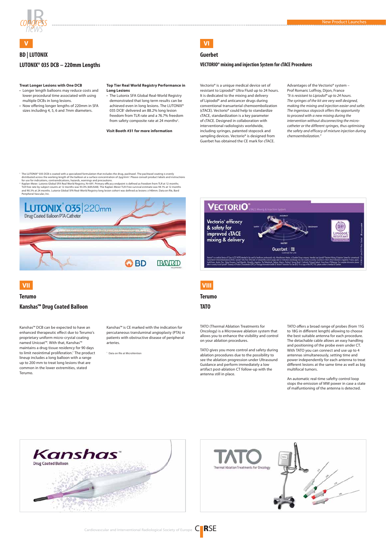



'The LUTONIX® 035 DCB is coated with a specialized formulation that includes the drug, paclitaxel. The paclitaxel coating is evenly<br>distributed across the working length of the balloon at a surface concentration of 2µg/m for use for indications, contraindications, hazards, warnings and precautions.

• The Lutonix SFA Global Real-World Registry demonstrated that long term results can be achieved even in long lesions. The LUTONIX® 035 DCB1 delivered an 88.2% long lesion freedom from TLR rate and a 76.7% freedom from safety composite rate at 24 months<sup>2</sup>.

2 Kaplan-Meier. Lutonix Global SFA Real World Registry, N=691. Primary efficacy endpoint is defined as freedom from TLR at 12 months.<br>TLR free rate by subject counts at 12 months was 93.4% (605/648). The Kaplan-Meier TLR-Fre and 90.3% at 24 months. Lutonix Global SFA Real-World Registry long lesion cohort was defined as lesions ≥140mm. Data on file, Bard Peripheral Vascular, Inc.



# **BD | LUTONIX**

#### **Treat Longer Lesions with One DCB**

- Longer length balloons may reduce costs and lower procedural time associated with using multiple DCBs in long lesions.
- Now offering longer lengths of 220mm in SFA sizes including 4, 5, 6 and 7mm diameters.

**Top Tier Real World Registry Performance in** 

**Long Lesions** 

**Visit Booth #31 for more information**

# **LUTONIX® 035 DCB – 220mm Lengths**

**V**

### **Guerbet**

#### **VECTORIO® mixing and injection System for cTACE Procedures**

# **VI**

Vectorio® is a unique medical device set of resistant to Lipiodol® Ultra Fluid up to 24 hours. It is dedicated to the mixing and delivery of Lipiodol® and anticancer drugs during conventional transarterial chemoembolization (cTACE). Vectorio® could help to standardize cTACE, standardization is a key parameter of cTACE. Designed in collaboration with interventional radiologists worldwide, including syringes, patented stopcock and sampling devices. Vectorio® is designed from Guerbet has obtained the CE mark for cTACE.

Advantages of the Vectorio® system – Prof Romaric Loffroy, Dijon, France "It is resistant to Lipiodol® up to 24 hours. The syringes of the kit are very well designed, making the mixing and injection easier and safer. The ingenious stopcock offers the opportunity to proceed with a new mixing during the intervention without disconnecting the microcatheter or the different syringes, thus optimising the safety and efficacy of mixture injection during chemoembolization."

# **Terumo**

TATO (Thermal Ablation Treatments for Oncology) is a Microwave ablation system that allows you to enhance the visibility and control on your ablation procedures.

TATO gives you more control and safety during ablation procedures due to the possibility to see the ablation progression under Ultrasound Guidance and perform immediately a low artifact post-ablation CT follow-up with the antenna still in place.

TATO offers a broad range of probes (from 11G to 18G in different length) allowing to choose the best suitable antenna for each procedure. The detachable cable allows an easy handling and positioning of the probe even under CT. With TATO you can connect and use up to 4 antennas simultaneously, setting time and power independently for each antenna to treat different lesions at the same time as well as big multifocal tumors.

An automatic real-time safefty control loop stops the emission of MW power in case a state of malfuntioning of the antenna is detected.





**TATO**

# **VIII**

#### **Terumo**

Kanshas™ DCB can be expected to have an enhanced therapeutic effect due to Terumo's proprietary uniform micro-crystal coating named Unicoat™. With that, Kanshas™ maintains a drug tissue residency for 90 days to limit neointimal proliferation.<sup>1</sup> The product lineup includes a long balloon with a range up to 200 mm to treat long lesions that are common in the lower extremities, stated Terumo.

Kanshas™ is CE marked with the indication for percutaneous transluminal angioplasty (PTA) in patients with obstructive disease of peripheral arteries.

1 Data on file at MicroVention



## **Kanshas™ Drug Coated Balloon**

# **VII**